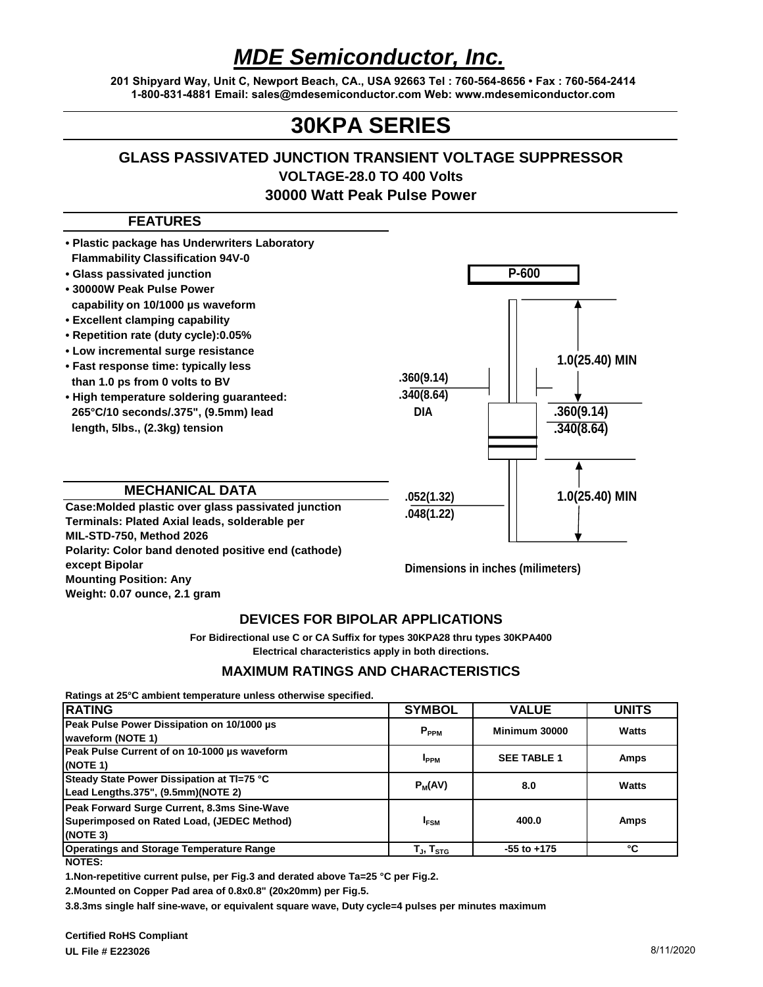# *MDE Semiconductor, Inc.*

**201 Shipyard Way, Unit C, Newport Beach, CA., USA 92663 Tel : 760-564-8656 • Fax : 760-564-2414 1-800-831-4881 Email: sales@mdesemiconductor.com Web: www.mdesemiconductor.com**

## **30KPA SERIES**

### **GLASS PASSIVATED JUNCTION TRANSIENT VOLTAGE SUPPRESSOR VOLTAGE-28.0 TO 400 Volts 30000 Watt Peak Pulse Power**

#### **FEATURES**



#### **DEVICES FOR BIPOLAR APPLICATIONS**

**Electrical characteristics apply in both directions. For Bidirectional use C or CA Suffix for types 30KPA28 thru types 30KPA400**

#### **MAXIMUM RATINGS AND CHARACTERISTICS**

**Ratings at 25°C ambient temperature unless otherwise specified.**

| <b>RATING</b>                                                                                         | <b>SYMBOL</b>                | <b>VALUE</b>       | <b>UNITS</b> |
|-------------------------------------------------------------------------------------------------------|------------------------------|--------------------|--------------|
| Peak Pulse Power Dissipation on 10/1000 us<br>waveform (NOTE 1)                                       | $P_{PPM}$                    | Minimum 30000      | Watts        |
| Peak Pulse Current of on 10-1000 us waveform<br>(NOTE 1)                                              | <b>I</b> <sub>PPM</sub>      | <b>SEE TABLE 1</b> | Amps         |
| Steady State Power Dissipation at TI=75 °C<br>Lead Lengths.375", (9.5mm)(NOTE 2)                      | $P_M(AV)$                    | 8.0                | Watts        |
| Peak Forward Surge Current, 8.3ms Sine-Wave<br>Superimposed on Rated Load, (JEDEC Method)<br>(NOTE 3) | <b>IFSM</b>                  | 400.0              | Amps         |
| <b>Operatings and Storage Temperature Range</b>                                                       | T $_{\sf J},$ T $_{\sf STG}$ | $-55$ to $+175$    | °C           |
| NOTES:                                                                                                |                              |                    |              |

**1.Non-repetitive current pulse, per Fig.3 and derated above Ta=25 °C per Fig.2.**

**2.Mounted on Copper Pad area of 0.8x0.8" (20x20mm) per Fig.5.**

**3.8.3ms single half sine-wave, or equivalent square wave, Duty cycle=4 pulses per minutes maximum**

**Weight: 0.07 ounce, 2.1 gram**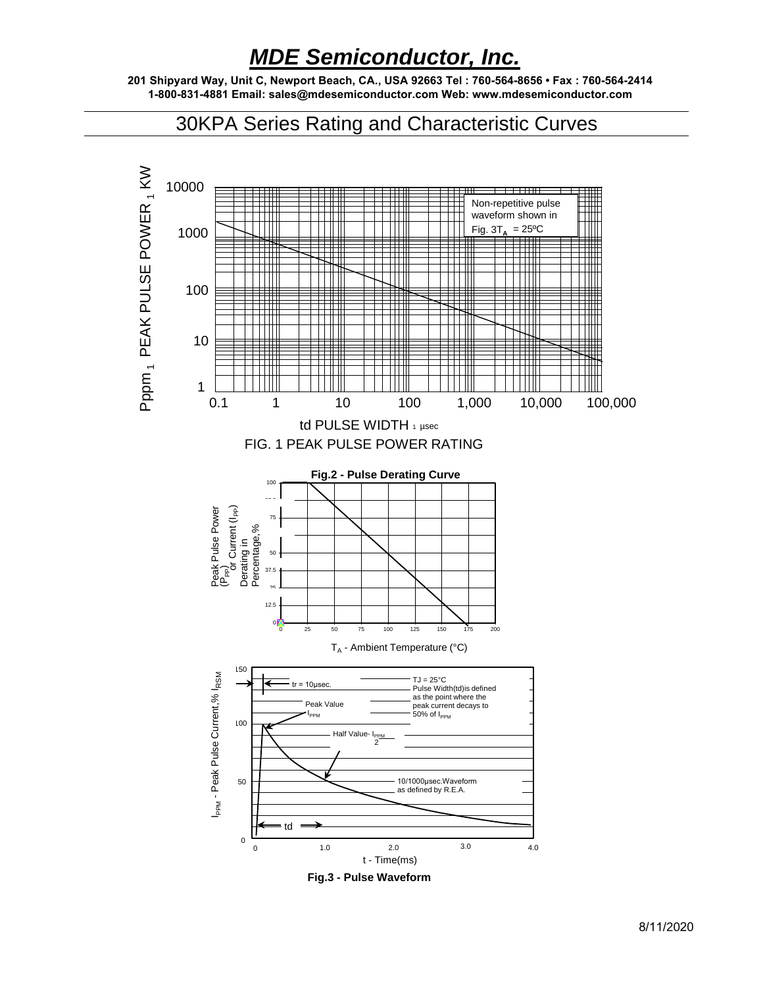### *MDE Semiconductor, Inc.*

**201 Shipyard Way, Unit C, Newport Beach, CA., USA 92663 Tel : 760-564-8656 • Fax : 760-564-2414 1-800-831-4881 Email: sales@mdesemiconductor.com Web: www.mdesemiconductor.com**

30KPA Series Rating and Characteristic Curves



**Fig.3 - Pulse Waveform**